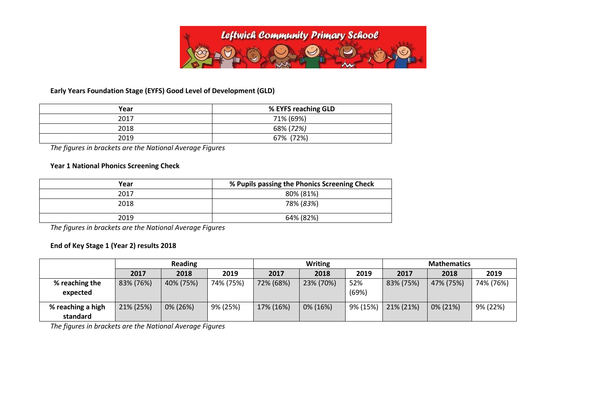

## **Early Years Foundation Stage (EYFS) Good Level of Development (GLD)**

| Year | % EYFS reaching GLD |
|------|---------------------|
| 2017 | 71% (69%)           |
| 2018 | 68% (72%)           |
| 2019 | 67% (72%)           |

*The figures in brackets are the National Average Figures*

## **Year 1 National Phonics Screening Check**

| Year | % Pupils passing the Phonics Screening Check |
|------|----------------------------------------------|
| 2017 | 80% (81%)                                    |
| 2018 | 78% (83%)                                    |
| 2019 | 64% (82%)                                    |

*The figures in brackets are the National Average Figures*

## **End of Key Stage 1 (Year 2) results 2018**

|                               |           | <b>Reading</b> |           |           | <b>Writing</b> |              | <b>Mathematics</b> |           |           |  |
|-------------------------------|-----------|----------------|-----------|-----------|----------------|--------------|--------------------|-----------|-----------|--|
|                               | 2017      | 2018           | 2019      | 2017      | 2018           | 2019         | 2017               | 2018      | 2019      |  |
| % reaching the<br>expected    | 83% (76%) | 40% (75%)      | 74% (75%) | 72% (68%) | 23% (70%)      | 52%<br>(69%) | 83% (75%)          | 47% (75%) | 74% (76%) |  |
| % reaching a high<br>standard | 21% (25%) | 0% (26%)       | 9% (25%)  | 17% (16%) | 0% (16%)       | 9% (15%)     | 21% (21%)          | 0% (21%)  | 9% (22%)  |  |

*The figures in brackets are the National Average Figures*